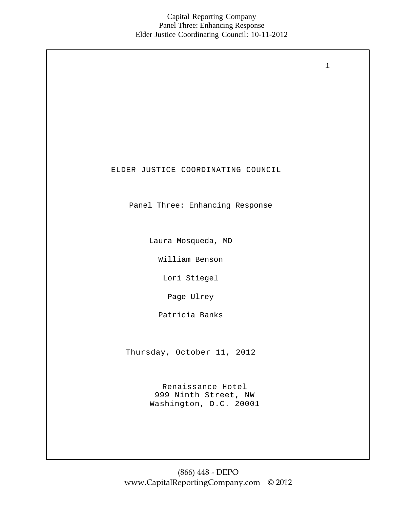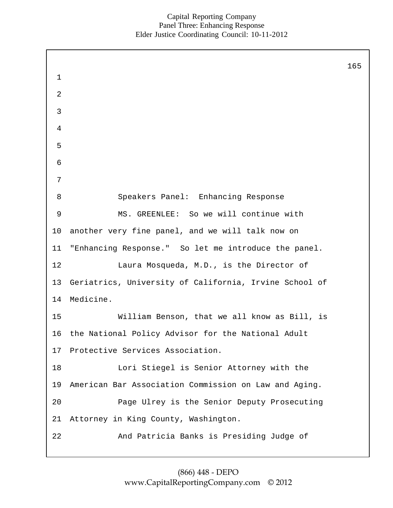| $\mathbf 1$    |                                                        | 165 |
|----------------|--------------------------------------------------------|-----|
| $\overline{2}$ |                                                        |     |
| 3              |                                                        |     |
| 4              |                                                        |     |
| 5              |                                                        |     |
| 6              |                                                        |     |
| 7              |                                                        |     |
| 8              | Speakers Panel: Enhancing Response                     |     |
| 9              | MS. GREENLEE: So we will continue with                 |     |
| 10             | another very fine panel, and we will talk now on       |     |
| 11             | "Enhancing Response." So let me introduce the panel.   |     |
| 12             | Laura Mosqueda, M.D., is the Director of               |     |
| 13             | Geriatrics, University of California, Irvine School of |     |
| 14             | Medicine.                                              |     |
| 15             | William Benson, that we all know as Bill, is           |     |
| 16             | the National Policy Advisor for the National Adult     |     |
| 17             | Protective Services Association.                       |     |
| 18             | Lori Stiegel is Senior Attorney with the               |     |
| 19             | American Bar Association Commission on Law and Aging.  |     |
| 20             | Page Ulrey is the Senior Deputy Prosecuting            |     |
| 21             | Attorney in King County, Washington.                   |     |
| 22             | And Patricia Banks is Presiding Judge of               |     |
|                |                                                        |     |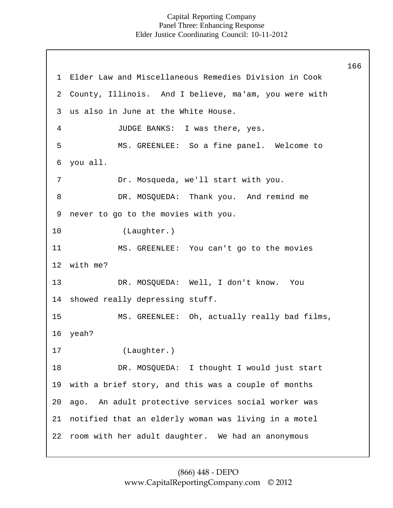166

1 1 0 1 1 1 2 1 3 2 3 4 5 6 7 8 9 Elder Law and Miscellaneous Remedies Division in Cook County, Illinois. And I believe, ma'am, you were with us also in June at the White House. JUDGE BANKS: I was there, yes. MS. GREENLEE: So a fine panel. Welcome to you all. Dr. Mosqueda, we'll start with you. DR. MOSQUEDA: Thank you. And remind me never to go to the movies with you. (Laughter.) MS. GREENLEE: You can't go to the movies with me? DR. MOSQUEDA: Well, I don't know. You 14 showed really depressing stuff. 15 16 17 18 19 20 21 22 room with her adult daughter. We had an anonymous MS. GREENLEE: Oh, actually really bad films, yeah? (Laughter.) DR. MOSQUEDA: I thought I would just start with a brief story, and this was a couple of months ago. An adult protective services social worker was notified that an elderly woman was living in a motel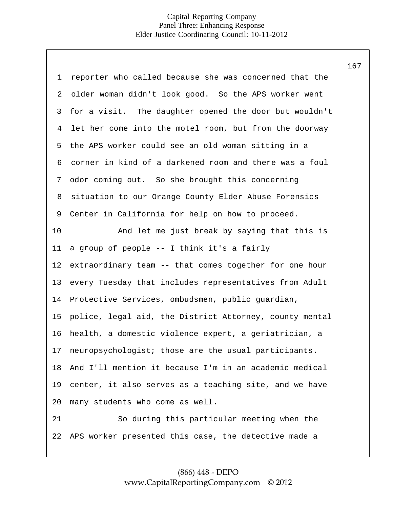| $\mathbf 1$    | reporter who called because she was concerned that the  |
|----------------|---------------------------------------------------------|
| 2              | older woman didn't look good. So the APS worker went    |
| 3              | for a visit. The daughter opened the door but wouldn't  |
| $\overline{4}$ | let her come into the motel room, but from the doorway  |
| 5              | the APS worker could see an old woman sitting in a      |
| 6              | corner in kind of a darkened room and there was a foul  |
| 7              | odor coming out. So she brought this concerning         |
| 8              | situation to our Orange County Elder Abuse Forensics    |
| 9              | Center in California for help on how to proceed.        |
| 10             | And let me just break by saying that this is            |
| 11             | a group of people -- I think it's a fairly              |
| $12 \,$        | extraordinary team -- that comes together for one hour  |
| 13             | every Tuesday that includes representatives from Adult  |
| 14             | Protective Services, ombudsmen, public guardian,        |
| 15             | police, legal aid, the District Attorney, county mental |
| 16             | health, a domestic violence expert, a geriatrician, a   |
| 17             | neuropsychologist; those are the usual participants.    |
| 18             | And I'll mention it because I'm in an academic medical  |
| 19             | center, it also serves as a teaching site, and we have  |
| 20             | many students who come as well.                         |
| 21             | So during this particular meeting when the              |
| 22             | APS worker presented this case, the detective made a    |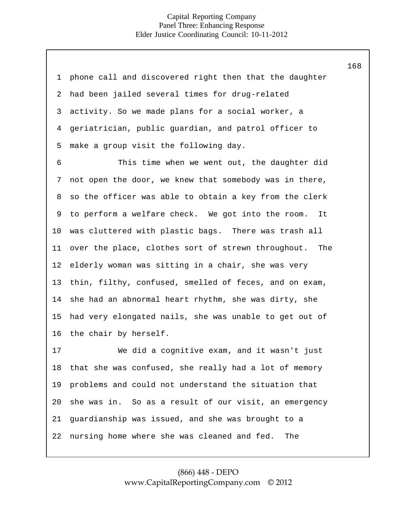| 1  | phone call and discovered right then that the daughter  |
|----|---------------------------------------------------------|
| 2  | had been jailed several times for drug-related          |
| 3  | activity. So we made plans for a social worker, a       |
| 4  | geriatrician, public guardian, and patrol officer to    |
| 5  | make a group visit the following day.                   |
| 6  | This time when we went out, the daughter did            |
| 7  | not open the door, we knew that somebody was in there,  |
| 8  | so the officer was able to obtain a key from the clerk  |
| 9  | to perform a welfare check. We got into the room.<br>It |
| 10 | was cluttered with plastic bags. There was trash all    |
| 11 | over the place, clothes sort of strewn throughout. The  |
| 12 | elderly woman was sitting in a chair, she was very      |
| 13 | thin, filthy, confused, smelled of feces, and on exam,  |
| 14 | she had an abnormal heart rhythm, she was dirty, she    |
| 15 | had very elongated nails, she was unable to get out of  |
| 16 | the chair by herself.                                   |
| 17 | We did a cognitive exam, and it wasn't just             |
| 18 | that she was confused, she really had a lot of memory   |
| 19 | problems and could not understand the situation that    |
| 20 | she was in. So as a result of our visit, an emergency   |
| 21 | guardianship was issued, and she was brought to a       |
| 22 | nursing home where she was cleaned and fed.<br>The      |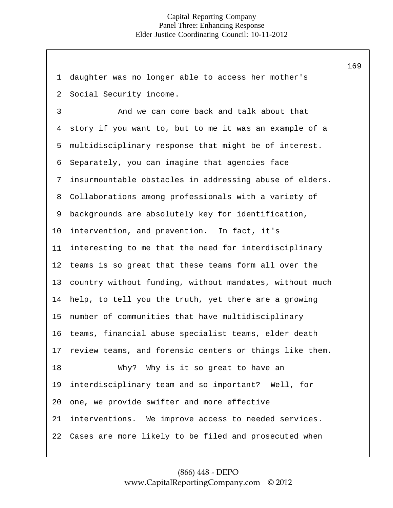1 2 3 4 5 6 7 8 9 10 11 12 13 14 15 16 17 18 19 20 21 22 daughter was no longer able to access her mother's Social Security income. And we can come back and talk about that story if you want to, but to me it was an example of a multidisciplinary response that might be of interest. Separately, you can imagine that agencies face insurmountable obstacles in addressing abuse of elders. Collaborations among professionals with a variety of backgrounds are absolutely key for identification, intervention, and prevention. In fact, it's interesting to me that the need for interdisciplinary teams is so great that these teams form all over the country without funding, without mandates, without much help, to tell you the truth, yet there are a growing number of communities that have multidisciplinary teams, financial abuse specialist teams, elder death review teams, and forensic centers or things like them. Why? Why is it so great to have an interdisciplinary team and so important? Well, for one, we provide swifter and more effective interventions. We improve access to needed services. Cases are more likely to be filed and prosecuted when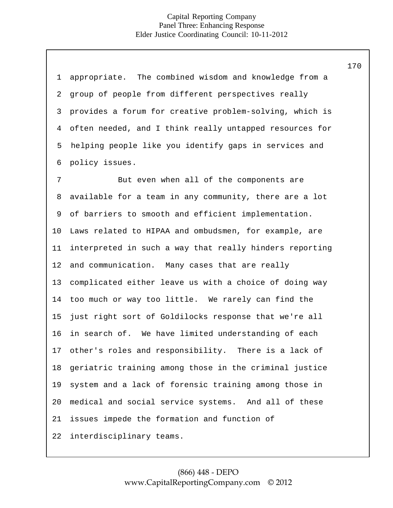| $\mathbf{1}$   | appropriate. The combined wisdom and knowledge from a   |
|----------------|---------------------------------------------------------|
| 2              | group of people from different perspectives really      |
| 3              | provides a forum for creative problem-solving, which is |
| $\overline{4}$ | often needed, and I think really untapped resources for |
| 5              | helping people like you identify gaps in services and   |
| 6              | policy issues.                                          |
| 7              | But even when all of the components are                 |
| 8              | available for a team in any community, there are a lot  |
| 9              | of barriers to smooth and efficient implementation.     |
| 10             | Laws related to HIPAA and ombudsmen, for example, are   |
| 11             | interpreted in such a way that really hinders reporting |
| 12             | and communication. Many cases that are really           |
| 13             | complicated either leave us with a choice of doing way  |
| 14             | too much or way too little. We rarely can find the      |
| 15             | just right sort of Goldilocks response that we're all   |
| 16             | in search of. We have limited understanding of each     |
| 17             | other's roles and responsibility. There is a lack of    |
| 18             | geriatric training among those in the criminal justice  |
| 19             | system and a lack of forensic training among those in   |
| 20             | medical and social service systems. And all of these    |
| 21             | issues impede the formation and function of             |
| 22             | interdisciplinary teams.                                |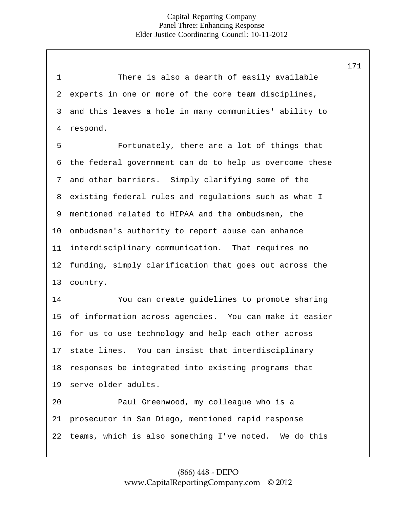1 2 3 4 5 6 7 8 9 10 11 12 13 14 There is also a dearth of easily available experts in one or more of the core team disciplines, and this leaves a hole in many communities' ability to respond. Fortunately, there are a lot of things that the federal government can do to help us overcome these and other barriers. Simply clarifying some of the existing federal rules and regulations such as what I mentioned related to HIPAA and the ombudsmen, the ombudsmen's authority to report abuse can enhance interdisciplinary communication. That requires no funding, simply clarification that goes out across the country. You can create guidelines to promote sharing of information across agencies. You can make it easier for us to use technology and help each other across state lines. You can insist that interdisciplinary responses be integrated into existing programs that serve older adults. 15 16 17 18 19 20 21 22 Paul Greenwood, my colleague who is a prosecutor in San Diego, mentioned rapid response teams, which is also something I've noted. We do this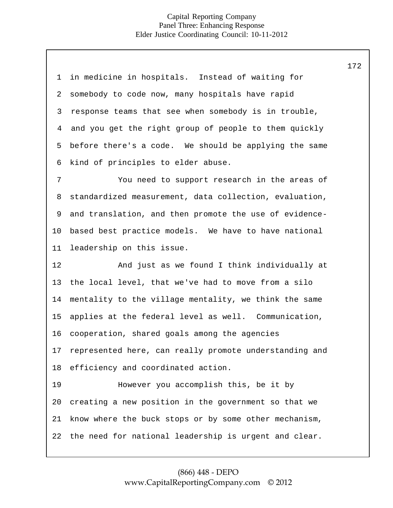| 1  | in medicine in hospitals. Instead of waiting for       |
|----|--------------------------------------------------------|
| 2  | somebody to code now, many hospitals have rapid        |
| 3  | response teams that see when somebody is in trouble,   |
| 4  | and you get the right group of people to them quickly  |
| 5  | before there's a code. We should be applying the same  |
| 6  | kind of principles to elder abuse.                     |
| 7  | You need to support research in the areas of           |
| 8  | standardized measurement, data collection, evaluation, |
| 9  | and translation, and then promote the use of evidence- |
| 10 | based best practice models. We have to have national   |
| 11 | leadership on this issue.                              |
|    |                                                        |
| 12 | And just as we found I think individually at           |
| 13 | the local level, that we've had to move from a silo    |
| 14 | mentality to the village mentality, we think the same  |
| 15 | applies at the federal level as well. Communication,   |
| 16 | cooperation, shared goals among the agencies           |
| 17 | represented here, can really promote understanding and |
| 18 | efficiency and coordinated action.                     |
| 19 | However you accomplish this, be it by                  |
| 20 | creating a new position in the government so that we   |
| 21 | know where the buck stops or by some other mechanism,  |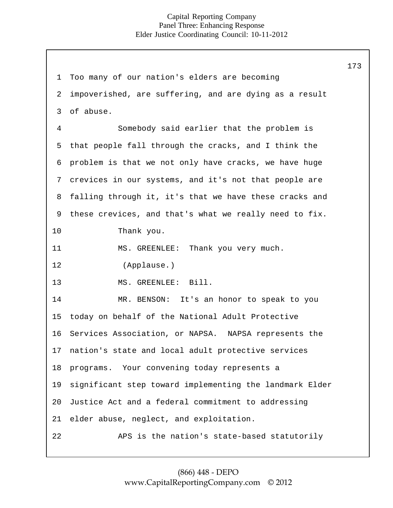173

1 2 3 4 5 6 7 8 9 10 11 12 13 14 15 16 17 18 19 20 21 22 Too many of our nation's elders are becoming impoverished, are suffering, and are dying as a result of abuse. Somebody said earlier that the problem is that people fall through the cracks, and I think the problem is that we not only have cracks, we have huge crevices in our systems, and it's not that people are falling through it, it's that we have these cracks and these crevices, and that's what we really need to fix. Thank you. MS. GREENLEE: Thank you very much. (Applause.) MS. GREENLEE: Bill. MR. BENSON: It's an honor to speak to you today on behalf of the National Adult Protective Services Association, or NAPSA. NAPSA represents the nation's state and local adult protective services programs. Your convening today represents a significant step toward implementing the landmark Elder Justice Act and a federal commitment to addressing elder abuse, neglect, and exploitation. APS is the nation's state-based statutorily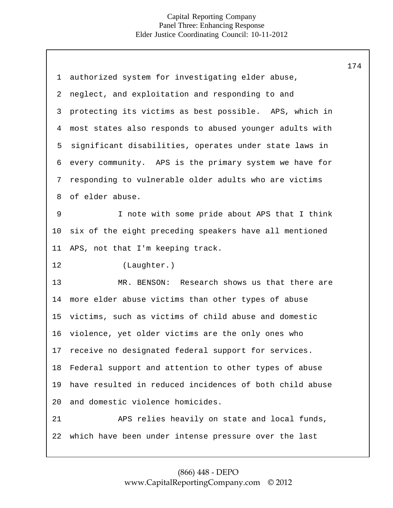| $\mathbf 1$ | authorized system for investigating elder abuse,        |
|-------------|---------------------------------------------------------|
| 2           | neglect, and exploitation and responding to and         |
| 3           | protecting its victims as best possible. APS, which in  |
| 4           | most states also responds to abused younger adults with |
| 5           | significant disabilities, operates under state laws in  |
| 6           | every community. APS is the primary system we have for  |
| 7           | responding to vulnerable older adults who are victims   |
| 8           | of elder abuse.                                         |
| $\mathsf 9$ | I note with some pride about APS that I think           |
| 10          | six of the eight preceding speakers have all mentioned  |
| 11          | APS, not that I'm keeping track.                        |
|             |                                                         |
| 12          | (Laughter.)                                             |
| 13          | MR. BENSON: Research shows us that there are            |
| 14          | more elder abuse victims than other types of abuse      |
| 15          | victims, such as victims of child abuse and domestic    |
| 16          | violence, yet older victims are the only ones who       |
| 17          | receive no designated federal support for services.     |
| 18          | Federal support and attention to other types of abuse   |
| 19          | have resulted in reduced incidences of both child abuse |
| 20          | and domestic violence homicides.                        |
| 21          | APS relies heavily on state and local funds,            |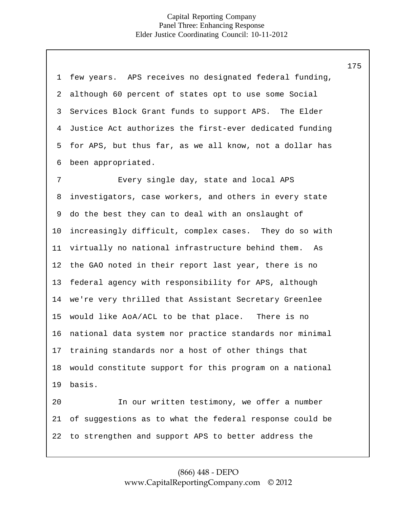| $\mathbf 1$    | few years. APS receives no designated federal funding,  |
|----------------|---------------------------------------------------------|
| 2              | although 60 percent of states opt to use some Social    |
| 3              | Services Block Grant funds to support APS. The Elder    |
| $\overline{4}$ | Justice Act authorizes the first-ever dedicated funding |
| 5              | for APS, but thus far, as we all know, not a dollar has |
| 6              | been appropriated.                                      |
| 7              | Every single day, state and local APS                   |
| 8              | investigators, case workers, and others in every state  |
| 9              | do the best they can to deal with an onslaught of       |
| 10             | increasingly difficult, complex cases. They do so with  |
| 11             | virtually no national infrastructure behind them. As    |
| 12             | the GAO noted in their report last year, there is no    |
| 13             | federal agency with responsibility for APS, although    |
| 14             | we're very thrilled that Assistant Secretary Greenlee   |
| 15             | would like AoA/ACL to be that place. There is no        |
| 16             | national data system nor practice standards nor minimal |
|                | 17 training standards nor a host of other things that   |
| 18             | would constitute support for this program on a national |
| 19             | basis.                                                  |
| 20             | In our written testimony, we offer a number             |
| 21             | of suggestions as to what the federal response could be |
| 22             | to strengthen and support APS to better address the     |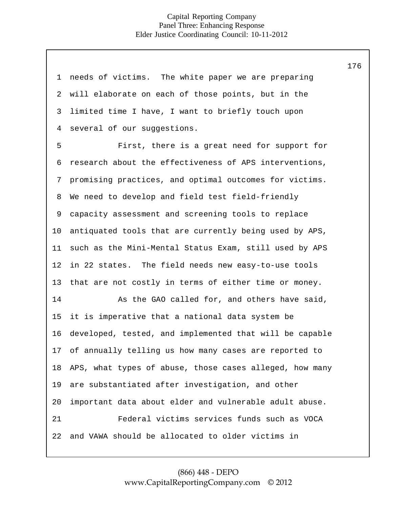| 1  | needs of victims. The white paper we are preparing      |
|----|---------------------------------------------------------|
| 2  | will elaborate on each of those points, but in the      |
| 3  | limited time I have, I want to briefly touch upon       |
| 4  | several of our suggestions.                             |
| 5  | First, there is a great need for support for            |
| 6  | research about the effectiveness of APS interventions,  |
| 7  | promising practices, and optimal outcomes for victims.  |
| 8  | We need to develop and field test field-friendly        |
| 9  | capacity assessment and screening tools to replace      |
| 10 | antiquated tools that are currently being used by APS,  |
| 11 | such as the Mini-Mental Status Exam, still used by APS  |
| 12 | in 22 states. The field needs new easy-to-use tools     |
| 13 | that are not costly in terms of either time or money.   |
| 14 | As the GAO called for, and others have said,            |
| 15 | it is imperative that a national data system be         |
| 16 | developed, tested, and implemented that will be capable |
| 17 | of annually telling us how many cases are reported to   |
| 18 | APS, what types of abuse, those cases alleged, how many |
| 19 | are substantiated after investigation, and other        |
| 20 | important data about elder and vulnerable adult abuse.  |
| 21 | Federal victims services funds such as VOCA             |
| 22 | and VAWA should be allocated to older victims in        |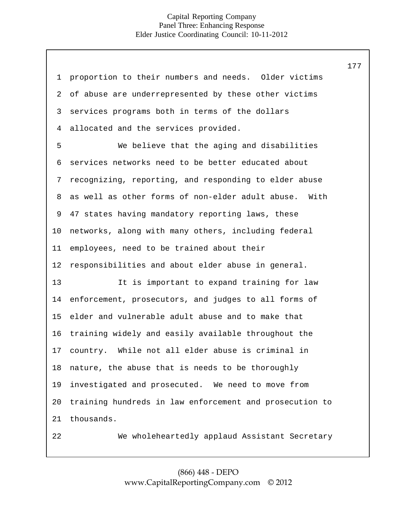1 2 3 4 5 6 7 8 9 10 11 12 13 14 15 16 17 proportion to their numbers and needs. Older victims of abuse are underrepresented by these other victims services programs both in terms of the dollars allocated and the services provided. We believe that the aging and disabilities services networks need to be better educated about recognizing, reporting, and responding to elder abuse as well as other forms of non-elder adult abuse. With 47 states having mandatory reporting laws, these networks, along with many others, including federal employees, need to be trained about their responsibilities and about elder abuse in general. 18 19 20 21 22 It is important to expand training for law enforcement, prosecutors, and judges to all forms of elder and vulnerable adult abuse and to make that training widely and easily available throughout the country. While not all elder abuse is criminal in nature, the abuse that is needs to be thoroughly investigated and prosecuted. We need to move from training hundreds in law enforcement and prosecution to thousands. We wholeheartedly applaud Assistant Secretary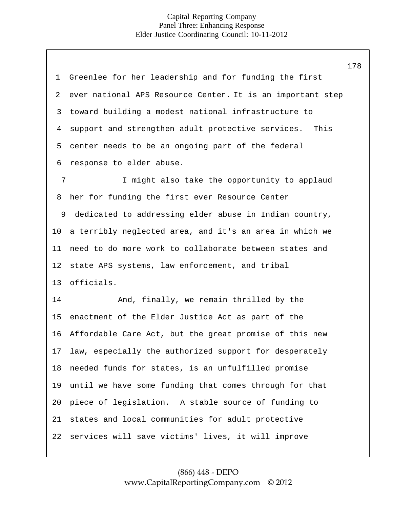|                 |                                                            | 178 |
|-----------------|------------------------------------------------------------|-----|
| $\mathbf 1$     | Greenlee for her leadership and for funding the first      |     |
| 2               | ever national APS Resource Center. It is an important step |     |
| 3               | toward building a modest national infrastructure to        |     |
| $\overline{4}$  | support and strengthen adult protective services.<br>This  |     |
| 5               | center needs to be an ongoing part of the federal          |     |
| 6               | response to elder abuse.                                   |     |
| 7               | I might also take the opportunity to applaud               |     |
| 8               | her for funding the first ever Resource Center             |     |
| 9               | dedicated to addressing elder abuse in Indian country,     |     |
| 10 <sub>o</sub> | a terribly neglected area, and it's an area in which we    |     |
| 11              | need to do more work to collaborate between states and     |     |
| 12              | state APS systems, law enforcement, and tribal             |     |
| 13              | officials.                                                 |     |
| 14              | And, finally, we remain thrilled by the                    |     |
| 15              | enactment of the Elder Justice Act as part of the          |     |
| 16              | Affordable Care Act, but the great promise of this new     |     |
|                 | 17 law, especially the authorized support for desperately  |     |
| 18              | needed funds for states, is an unfulfilled promise         |     |
| 19              | until we have some funding that comes through for that     |     |
| 20              | piece of legislation. A stable source of funding to        |     |
| 21              | states and local communities for adult protective          |     |
| 22              | services will save victims' lives, it will improve         |     |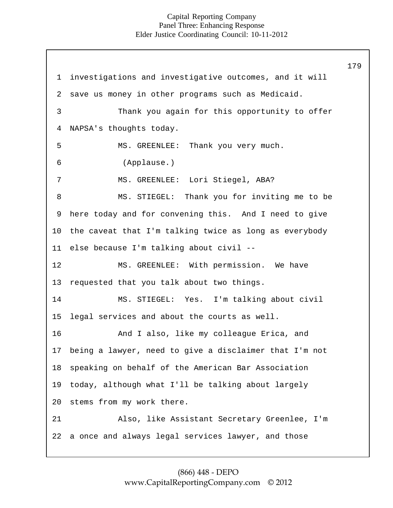1 2 3 4 5 6 7 8 9 10 11 12 13 investigations and investigative outcomes, and it will save us money in other programs such as Medicaid. Thank you again for this opportunity to offer NAPSA's thoughts today. MS. GREENLEE: Thank you very much. (Applause.) MS. GREENLEE: Lori Stiegel, ABA? MS. STIEGEL: Thank you for inviting me to be here today and for convening this. And I need to give the caveat that I'm talking twice as long as everybody else because I'm talking about civil -- MS. GREENLEE: With permission. We have requested that you talk about two things. 14 15 16 17 18 19 20 21 22 MS. STIEGEL: Yes. I'm talking about civil legal services and about the courts as well. And I also, like my colleague Erica, and being a lawyer, need to give a disclaimer that I'm not speaking on behalf of the American Bar Association today, although what I'll be talking about largely stems from my work there. Also, like Assistant Secretary Greenlee, I'm a once and always legal services lawyer, and those 179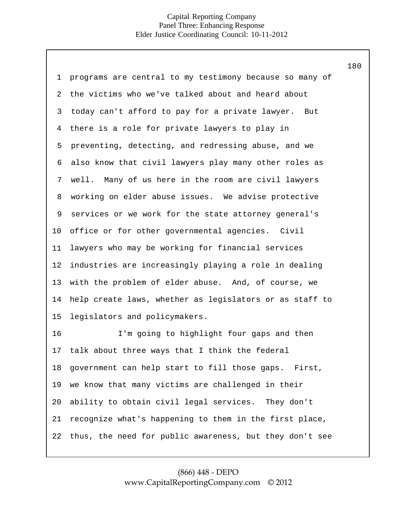| 1              | programs are central to my testimony because so many of |
|----------------|---------------------------------------------------------|
| $\overline{2}$ | the victims who we've talked about and heard about      |
| 3              | today can't afford to pay for a private lawyer. But     |
| 4              | there is a role for private lawyers to play in          |
| 5              | preventing, detecting, and redressing abuse, and we     |
| 6              | also know that civil lawyers play many other roles as   |
| 7              | well. Many of us here in the room are civil lawyers     |
| 8              | working on elder abuse issues. We advise protective     |
| 9              | services or we work for the state attorney general's    |
| 10             | office or for other governmental agencies. Civil        |
| 11             | lawyers who may be working for financial services       |
| 12             | industries are increasingly playing a role in dealing   |
| 13             | with the problem of elder abuse. And, of course, we     |
| 14             | help create laws, whether as legislators or as staff to |
| 15             | legislators and policymakers.                           |
| 16             | I'm going to highlight four gaps and then               |
| 17             | talk about three ways that I think the federal          |
| 18             | government can help start to fill those gaps. First,    |
| 19             | we know that many victims are challenged in their       |
| 20             | ability to obtain civil legal services. They don't      |
| 21             | recognize what's happening to them in the first place,  |
| 22             | thus, the need for public awareness, but they don't see |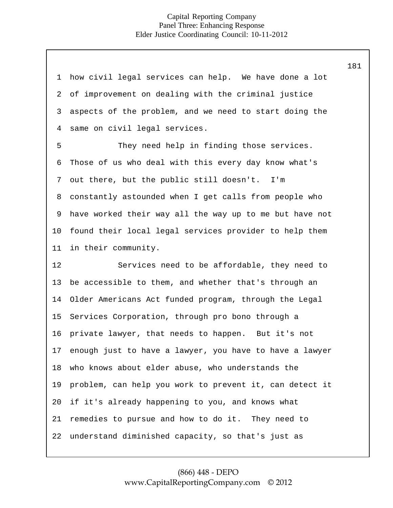| $\mathbf{1}$   | how civil legal services can help. We have done a lot   |
|----------------|---------------------------------------------------------|
| $\overline{2}$ | of improvement on dealing with the criminal justice     |
| 3              | aspects of the problem, and we need to start doing the  |
| $\overline{4}$ | same on civil legal services.                           |
| 5              | They need help in finding those services.               |
| 6              | Those of us who deal with this every day know what's    |
| 7              | out there, but the public still doesn't. I'm            |
| 8              | constantly astounded when I get calls from people who   |
| 9              | have worked their way all the way up to me but have not |
| 10             | found their local legal services provider to help them  |
| 11             | in their community.                                     |
|                |                                                         |
| 12             | Services need to be affordable, they need to            |
| 13             | be accessible to them, and whether that's through an    |
| 14             | Older Americans Act funded program, through the Legal   |
| 15             | Services Corporation, through pro bono through a        |
| 16             | private lawyer, that needs to happen. But it's not      |
| 17             | enough just to have a lawyer, you have to have a lawyer |
| 18             | who knows about elder abuse, who understands the        |
| 19             | problem, can help you work to prevent it, can detect it |
| 20             | if it's already happening to you, and knows what        |
| 21             | remedies to pursue and how to do it. They need to       |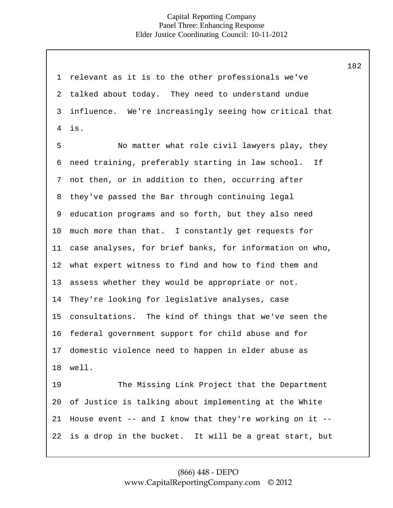1 2 3 4 5 6 7 8 9 10 11 12 13 14 15 16 17 18 19 20 21 22 relevant as it is to the other professionals we've talked about today. They need to understand undue influence. We're increasingly seeing how critical that is. No matter what role civil lawyers play, they need training, preferably starting in law school. If not then, or in addition to then, occurring after they've passed the Bar through continuing legal education programs and so forth, but they also need much more than that. I constantly get requests for case analyses, for brief banks, for information on who, what expert witness to find and how to find them and assess whether they would be appropriate or not. They're looking for legislative analyses, case consultations. The kind of things that we've seen the federal government support for child abuse and for domestic violence need to happen in elder abuse as well. The Missing Link Project that the Department of Justice is talking about implementing at the White House event  $--$  and I know that they're working on it  $-$ is a drop in the bucket. It will be a great start, but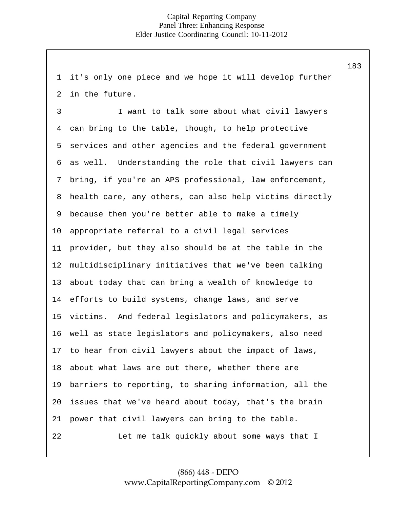1 2 it's only one piece and we hope it will develop further in the future.

3 4 5 6 7 8 9 10 11 12 I want to talk some about what civil lawyers can bring to the table, though, to help protective services and other agencies and the federal government as well. Understanding the role that civil lawyers can bring, if you're an APS professional, law enforcement, health care, any others, can also help victims directly because then you're better able to make a timely appropriate referral to a civil legal services provider, but they also should be at the table in the multidisciplinary initiatives that we've been talking about today that can bring a wealth of knowledge to efforts to build systems, change laws, and serve victims. And federal legislators and policymakers, as well as state legislators and policymakers, also need to hear from civil lawyers about the impact of laws, about what laws are out there, whether there are barriers to reporting, to sharing information, all the issues that we've heard about today, that's the brain power that civil lawyers can bring to the table. 13 14 15 16 17 18 19 20 21 22 Let me talk quickly about some ways that I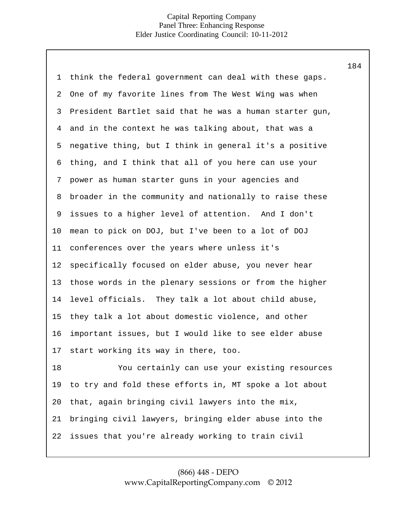| 1  | think the federal government can deal with these gaps.  |
|----|---------------------------------------------------------|
|    |                                                         |
| 2  | One of my favorite lines from The West Wing was when    |
| 3  | President Bartlet said that he was a human starter gun, |
| 4  | and in the context he was talking about, that was a     |
| 5  | negative thing, but I think in general it's a positive  |
| 6  | thing, and I think that all of you here can use your    |
| 7  | power as human starter guns in your agencies and        |
| 8  | broader in the community and nationally to raise these  |
| 9  | issues to a higher level of attention. And I don't      |
| 10 | mean to pick on DOJ, but I've been to a lot of DOJ      |
| 11 | conferences over the years where unless it's            |
| 12 | specifically focused on elder abuse, you never hear     |
| 13 | those words in the plenary sessions or from the higher  |
| 14 | level officials. They talk a lot about child abuse,     |
| 15 | they talk a lot about domestic violence, and other      |
| 16 | important issues, but I would like to see elder abuse   |
| 17 | start working its way in there, too.                    |
| 18 | You certainly can use your existing resources           |
| 19 | to try and fold these efforts in, MT spoke a lot about  |
| 20 | that, again bringing civil lawyers into the mix,        |
| 21 | bringing civil lawyers, bringing elder abuse into the   |
| 22 | issues that you're already working to train civil       |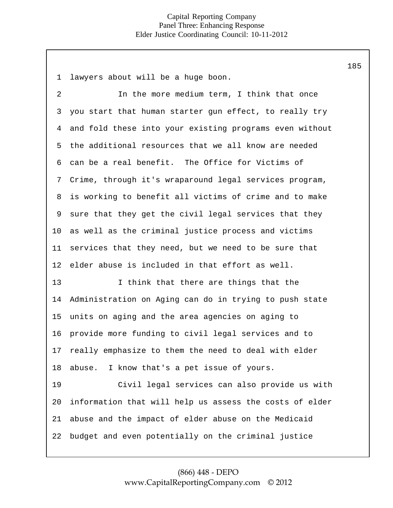1 2 3 4 5 6 7 8 9 10 11 12 13 14 15 16 17 18 19 20 21 22 lawyers about will be a huge boon. In the more medium term, I think that once you start that human starter gun effect, to really try and fold these into your existing programs even without the additional resources that we all know are needed can be a real benefit. The Office for Victims of Crime, through it's wraparound legal services program, is working to benefit all victims of crime and to make sure that they get the civil legal services that they as well as the criminal justice process and victims services that they need, but we need to be sure that elder abuse is included in that effort as well. I think that there are things that the Administration on Aging can do in trying to push state units on aging and the area agencies on aging to provide more funding to civil legal services and to really emphasize to them the need to deal with elder abuse. I know that's a pet issue of yours. Civil legal services can also provide us with information that will help us assess the costs of elder abuse and the impact of elder abuse on the Medicaid budget and even potentially on the criminal justice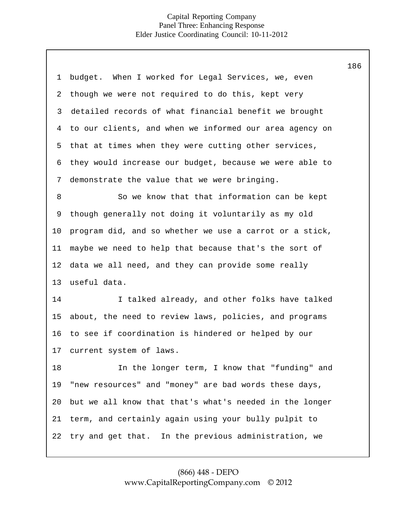| 1  | budget. When I worked for Legal Services, we, even      |
|----|---------------------------------------------------------|
| 2  | though we were not required to do this, kept very       |
| 3  | detailed records of what financial benefit we brought   |
| 4  | to our clients, and when we informed our area agency on |
| 5  | that at times when they were cutting other services,    |
| 6  | they would increase our budget, because we were able to |
| 7  | demonstrate the value that we were bringing.            |
| 8  | So we know that that information can be kept            |
| 9  | though generally not doing it voluntarily as my old     |
| 10 | program did, and so whether we use a carrot or a stick, |
| 11 | maybe we need to help that because that's the sort of   |
| 12 | data we all need, and they can provide some really      |
| 13 | useful data.                                            |
| 14 | I talked already, and other folks have talked           |
| 15 | about, the need to review laws, policies, and programs  |
| 16 | to see if coordination is hindered or helped by our     |
| 17 | current system of laws.                                 |
| 18 | In the longer term, I know that "funding" and           |
| 19 | "new resources" and "money" are bad words these days,   |
| 20 | but we all know that that's what's needed in the longer |
| 21 | term, and certainly again using your bully pulpit to    |
| 22 | try and get that. In the previous administration, we    |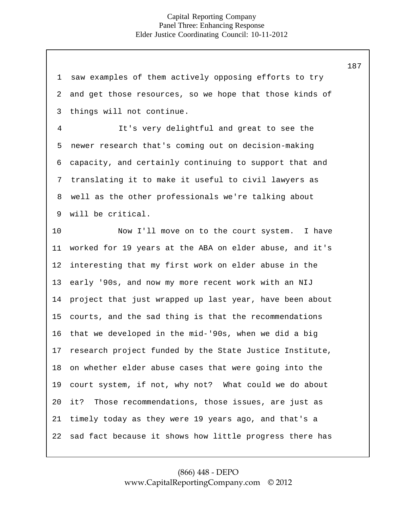1 2 3 4 5 6 7 8 9 10 11 12 13 14 15 16 17 18 19 20 21 22 saw examples of them actively opposing efforts to try and get those resources, so we hope that those kinds of things will not continue. It's very delightful and great to see the newer research that's coming out on decision-making capacity, and certainly continuing to support that and translating it to make it useful to civil lawyers as well as the other professionals we're talking about will be critical. Now I'll move on to the court system. I have worked for 19 years at the ABA on elder abuse, and it's interesting that my first work on elder abuse in the early '90s, and now my more recent work with an NIJ project that just wrapped up last year, have been about courts, and the sad thing is that the recommendations that we developed in the mid-'90s, when we did a big research project funded by the State Justice Institute, on whether elder abuse cases that were going into the court system, if not, why not? What could we do about it? Those recommendations, those issues, are just as timely today as they were 19 years ago, and that's a sad fact because it shows how little progress there has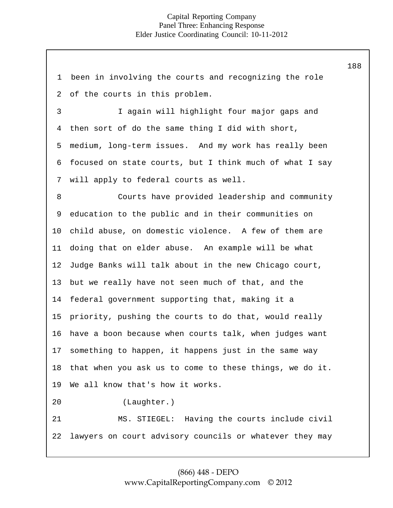1 2 3 4 5 6 7 8 9 10 11 12 13 14 15 16 17 18 19 20 21 22 been in involving the courts and recognizing the role of the courts in this problem. I again will highlight four major gaps and then sort of do the same thing I did with short, medium, long-term issues. And my work has really been focused on state courts, but I think much of what I say will apply to federal courts as well. Courts have provided leadership and community education to the public and in their communities on child abuse, on domestic violence. A few of them are doing that on elder abuse. An example will be what Judge Banks will talk about in the new Chicago court, but we really have not seen much of that, and the federal government supporting that, making it a priority, pushing the courts to do that, would really have a boon because when courts talk, when judges want something to happen, it happens just in the same way that when you ask us to come to these things, we do it. We all know that's how it works. (Laughter.) MS. STIEGEL: Having the courts include civil lawyers on court advisory councils or whatever they may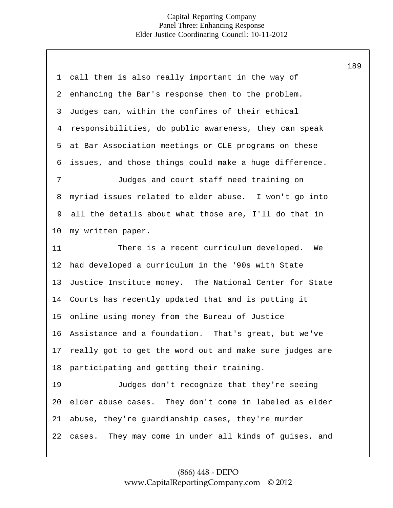| $\mathbf 1$    | call them is also really important in the way of        |
|----------------|---------------------------------------------------------|
| $\overline{a}$ | enhancing the Bar's response then to the problem.       |
| 3              | Judges can, within the confines of their ethical        |
| $\overline{4}$ | responsibilities, do public awareness, they can speak   |
| 5              | at Bar Association meetings or CLE programs on these    |
| 6              | issues, and those things could make a huge difference.  |
| 7              | Judges and court staff need training on                 |
| 8              | myriad issues related to elder abuse. I won't go into   |
| 9              | all the details about what those are, I'll do that in   |
| $10 \,$        | my written paper.                                       |
| 11             | There is a recent curriculum developed.<br>We           |
| 12             | had developed a curriculum in the '90s with State       |
| 13             | Justice Institute money. The National Center for State  |
| 14             | Courts has recently updated that and is putting it      |
| 15             | online using money from the Bureau of Justice           |
| 16             | Assistance and a foundation. That's great, but we've    |
| 17             | really got to get the word out and make sure judges are |
| 18             | participating and getting their training.               |
| 19             | Judges don't recognize that they're seeing              |
| 20             | elder abuse cases. They don't come in labeled as elder  |
| 21             | abuse, they're guardianship cases, they're murder       |
| 22             | cases. They may come in under all kinds of guises, and  |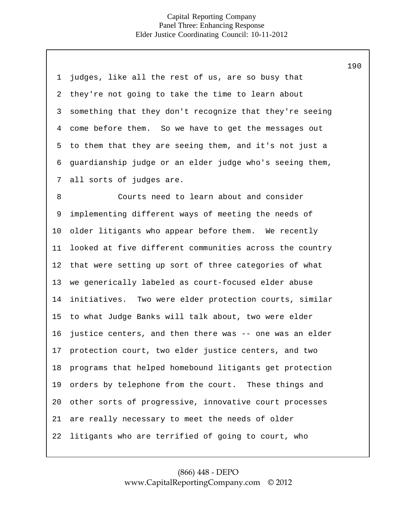| 1  | judges, like all the rest of us, are so busy that       |
|----|---------------------------------------------------------|
| 2  | they're not going to take the time to learn about       |
| 3  | something that they don't recognize that they're seeing |
| 4  | come before them. So we have to get the messages out    |
| 5  | to them that they are seeing them, and it's not just a  |
| 6  | guardianship judge or an elder judge who's seeing them, |
| 7  | all sorts of judges are.                                |
| 8  | Courts need to learn about and consider                 |
| 9  | implementing different ways of meeting the needs of     |
| 10 | older litigants who appear before them. We recently     |
| 11 | looked at five different communities across the country |
| 12 | that were setting up sort of three categories of what   |
| 13 | we generically labeled as court-focused elder abuse     |
| 14 | initiatives. Two were elder protection courts, similar  |
| 15 | to what Judge Banks will talk about, two were elder     |
| 16 | justice centers, and then there was -- one was an elder |
| 17 | protection court, two elder justice centers, and two    |
| 18 | programs that helped homebound litigants get protection |
| 19 | orders by telephone from the court. These things and    |
| 20 | other sorts of progressive, innovative court processes  |
| 21 | are really necessary to meet the needs of older         |
| 22 | litigants who are terrified of going to court, who      |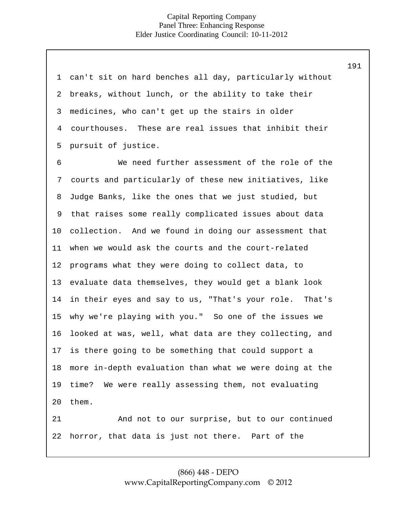| 1              | can't sit on hard benches all day, particularly without |
|----------------|---------------------------------------------------------|
| 2              | breaks, without lunch, or the ability to take their     |
| 3              | medicines, who can't get up the stairs in older         |
| $\overline{4}$ | courthouses. These are real issues that inhibit their   |
| 5              | pursuit of justice.                                     |
| 6              | We need further assessment of the role of the           |
| 7              | courts and particularly of these new initiatives, like  |
| 8              | Judge Banks, like the ones that we just studied, but    |
| 9              | that raises some really complicated issues about data   |
| 10             | collection. And we found in doing our assessment that   |
| 11             | when we would ask the courts and the court-related      |
| 12             | programs what they were doing to collect data, to       |
| 13             | evaluate data themselves, they would get a blank look   |
| 14             | in their eyes and say to us, "That's your role. That's  |
| 15             | why we're playing with you." So one of the issues we    |
| 16             | looked at was, well, what data are they collecting, and |
| 17             | is there going to be something that could support a     |
| 18             | more in-depth evaluation than what we were doing at the |
| 19             | time? We were really assessing them, not evaluating     |
| 20             | them.                                                   |
| 21             | And not to our surprise, but to our continued           |
| 22             | horror, that data is just not there. Part of the        |

# (866) 448 - DEPO [www.CapitalReportingCompany.com ©](http://www.capitalreportingcompany.com/) 2012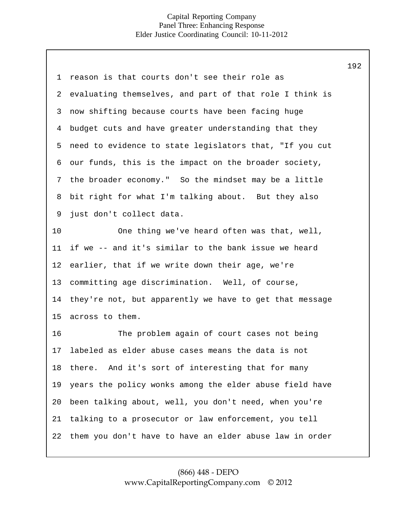| 1  | reason is that courts don't see their role as           |
|----|---------------------------------------------------------|
| 2  | evaluating themselves, and part of that role I think is |
| 3  | now shifting because courts have been facing huge       |
| 4  | budget cuts and have greater understanding that they    |
| 5  | need to evidence to state legislators that, "If you cut |
| 6  | our funds, this is the impact on the broader society,   |
| 7  | the broader economy." So the mindset may be a little    |
| 8  | bit right for what I'm talking about. But they also     |
| 9  | just don't collect data.                                |
| 10 | One thing we've heard often was that, well,             |
| 11 | if we -- and it's similar to the bank issue we heard    |
| 12 | earlier, that if we write down their age, we're         |
| 13 | committing age discrimination. Well, of course,         |
| 14 | they're not, but apparently we have to get that message |
| 15 | across to them.                                         |
| 16 | The problem again of court cases not being              |
| 17 | labeled as elder abuse cases means the data is not      |
| 18 | there. And it's sort of interesting that for many       |
| 19 | years the policy wonks among the elder abuse field have |
| 20 | been talking about, well, you don't need, when you're   |
| 21 | talking to a prosecutor or law enforcement, you tell    |
| 22 | them you don't have to have an elder abuse law in order |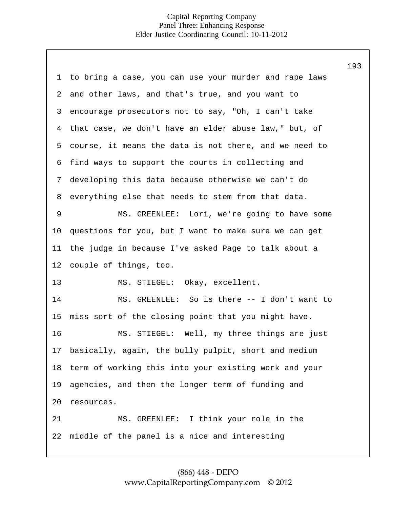|                |                                                        | 193 |
|----------------|--------------------------------------------------------|-----|
| 1              | to bring a case, you can use your murder and rape laws |     |
| $\overline{2}$ | and other laws, and that's true, and you want to       |     |
| 3              | encourage prosecutors not to say, "Oh, I can't take    |     |
| 4              | that case, we don't have an elder abuse law," but, of  |     |
| 5              | course, it means the data is not there, and we need to |     |
| 6              | find ways to support the courts in collecting and      |     |
| 7              | developing this data because otherwise we can't do     |     |
| 8              | everything else that needs to stem from that data.     |     |
| 9              | MS. GREENLEE: Lori, we're going to have some           |     |
| 10             | questions for you, but I want to make sure we can get  |     |
| 11             | the judge in because I've asked Page to talk about a   |     |
| 12             | couple of things, too.                                 |     |
| 13             | MS. STIEGEL: Okay, excellent.                          |     |
| 14             | MS. GREENLEE: So is there -- I don't want to           |     |
| 15             | miss sort of the closing point that you might have.    |     |
| 16             | MS. STIEGEL: Well, my three things are just            |     |
| 17             | basically, again, the bully pulpit, short and medium   |     |
| 18             | term of working this into your existing work and your  |     |
| 19             | agencies, and then the longer term of funding and      |     |
| 20             | resources.                                             |     |
| 21             | MS. GREENLEE: I think your role in the                 |     |
| 22             | middle of the panel is a nice and interesting          |     |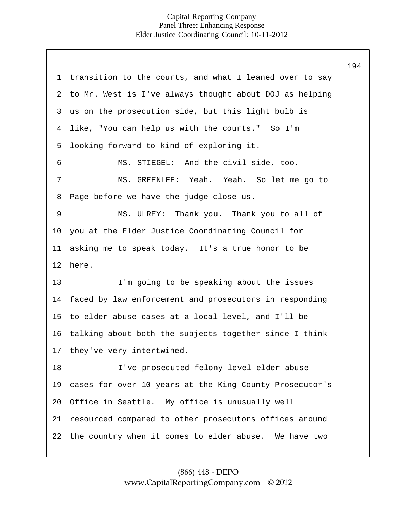1 2 3 4 5 6 7 8 9 10 11 12 13 14 15 16 17 18 19 20 21 22 transition to the courts, and what I leaned over to say to Mr. West is I've always thought about DOJ as helping us on the prosecution side, but this light bulb is like, "You can help us with the courts." So I'm looking forward to kind of exploring it. MS. STIEGEL: And the civil side, too. MS. GREENLEE: Yeah. Yeah. So let me go to Page before we have the judge close us. MS. ULREY: Thank you. Thank you to all of you at the Elder Justice Coordinating Council for asking me to speak today. It's a true honor to be here. I'm going to be speaking about the issues faced by law enforcement and prosecutors in responding to elder abuse cases at a local level, and I'll be talking about both the subjects together since I think they've very intertwined. I've prosecuted felony level elder abuse cases for over 10 years at the King County Prosecutor's Office in Seattle. My office is unusually well resourced compared to other prosecutors offices around the country when it comes to elder abuse. We have two 194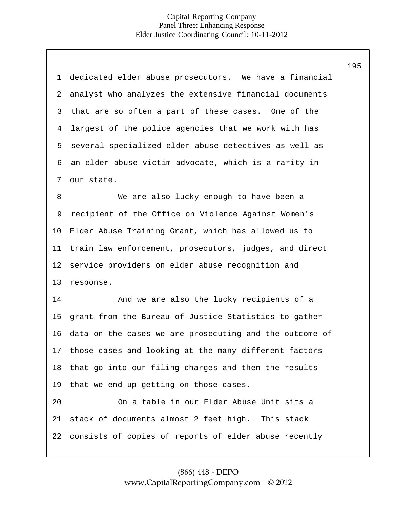|                | ᆂ - 그                                                   |
|----------------|---------------------------------------------------------|
| $\mathbf 1$    | dedicated elder abuse prosecutors. We have a financial  |
| $\overline{a}$ | analyst who analyzes the extensive financial documents  |
| 3              | that are so often a part of these cases. One of the     |
| 4              | largest of the police agencies that we work with has    |
| 5              | several specialized elder abuse detectives as well as   |
| 6              | an elder abuse victim advocate, which is a rarity in    |
| 7              | our state.                                              |
| 8              | We are also lucky enough to have been a                 |
| 9              | recipient of the Office on Violence Against Women's     |
| 10             | Elder Abuse Training Grant, which has allowed us to     |
| 11             | train law enforcement, prosecutors, judges, and direct  |
| 12             | service providers on elder abuse recognition and        |
| 13             | response.                                               |
| 14             | And we are also the lucky recipients of a               |
| 15             | grant from the Bureau of Justice Statistics to gather   |
| 16             | data on the cases we are prosecuting and the outcome of |
| 17             | those cases and looking at the many different factors   |
| 18             | that go into our filing charges and then the results    |
| 19             | that we end up getting on those cases.                  |
| 20             | On a table in our Elder Abuse Unit sits a               |
| 21             | stack of documents almost 2 feet high. This stack       |
| 22             | consists of copies of reports of elder abuse recently   |
|                |                                                         |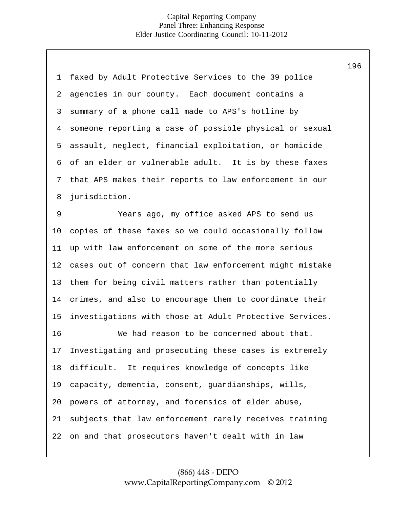| $\mathbf 1$ | faxed by Adult Protective Services to the 39 police     |
|-------------|---------------------------------------------------------|
| 2           | agencies in our county. Each document contains a        |
| 3           | summary of a phone call made to APS's hotline by        |
| 4           | someone reporting a case of possible physical or sexual |
| 5           | assault, neglect, financial exploitation, or homicide   |
| 6           | of an elder or vulnerable adult. It is by these faxes   |
| 7           | that APS makes their reports to law enforcement in our  |
| 8           | jurisdiction.                                           |
| 9           | Years ago, my office asked APS to send us               |
| $10 \,$     | copies of these faxes so we could occasionally follow   |
| 11          | up with law enforcement on some of the more serious     |
| 12          | cases out of concern that law enforcement might mistake |
| 13          | them for being civil matters rather than potentially    |
| 14          | crimes, and also to encourage them to coordinate their  |
| 15          | investigations with those at Adult Protective Services. |
| 16          | We had reason to be concerned about that.               |
| 17          | Investigating and prosecuting these cases is extremely  |
| 18          | difficult. It requires knowledge of concepts like       |
| 19          | capacity, dementia, consent, guardianships, wills,      |
| 20          | powers of attorney, and forensics of elder abuse,       |
| 21          | subjects that law enforcement rarely receives training  |
| 22          | on and that prosecutors haven't dealt with in law       |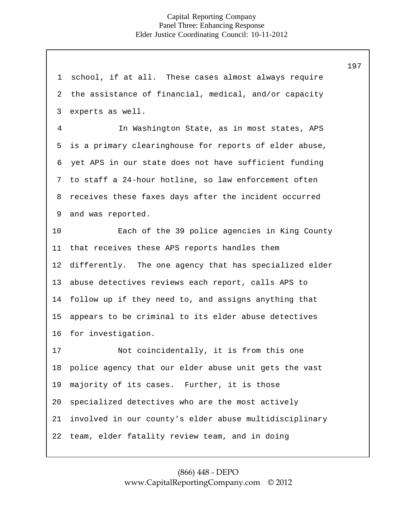1 2 3 4 5 6 7 8 9 10 11 12 13 14 15 16 17 18 19 20 21 22 school, if at all. These cases almost always require the assistance of financial, medical, and/or capacity experts as well. In Washington State, as in most states, APS is a primary clearinghouse for reports of elder abuse, yet APS in our state does not have sufficient funding to staff a 24-hour hotline, so law enforcement often receives these faxes days after the incident occurred and was reported. Each of the 39 police agencies in King County that receives these APS reports handles them differently. The one agency that has specialized elder abuse detectives reviews each report, calls APS to follow up if they need to, and assigns anything that appears to be criminal to its elder abuse detectives for investigation. Not coincidentally, it is from this one police agency that our elder abuse unit gets the vast majority of its cases. Further, it is those specialized detectives who are the most actively involved in our county's elder abuse multidisciplinary team, elder fatality review team, and in doing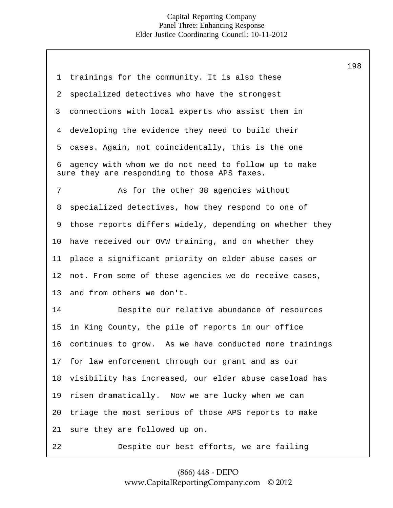7 8 9 10 11 12 13 14 15 16 1 2 3 4 5 6 sure they are responding to those APS faxes. trainings for the community. It is also these specialized detectives who have the strongest connections with local experts who assist them in developing the evidence they need to build their cases. Again, not coincidentally, this is the one agency with whom we do not need to follow up to make As for the other 38 agencies without specialized detectives, how they respond to one of those reports differs widely, depending on whether they have received our OVW training, and on whether they place a significant priority on elder abuse cases or not. From some of these agencies we do receive cases, and from others we don't. Despite our relative abundance of resources in King County, the pile of reports in our office continues to grow. As we have conducted more trainings for law enforcement through our grant and as our visibility has increased, our elder abuse caseload has risen dramatically. Now we are lucky when we can triage the most serious of those APS reports to make sure they are followed up on. 17 18 19 20 21 22 Despite our best efforts, we are failing

# (866) 448 - DEPO [www.CapitalReportingCompany.com ©](http://www.capitalreportingcompany.com/) 2012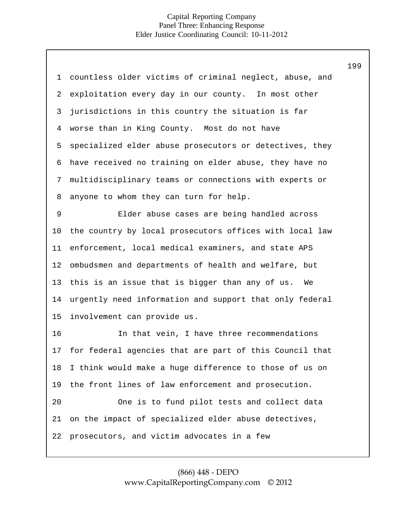| 1           | countless older victims of criminal neglect, abuse, and |
|-------------|---------------------------------------------------------|
| 2           | exploitation every day in our county. In most other     |
| 3           | jurisdictions in this country the situation is far      |
| 4           | worse than in King County. Most do not have             |
| 5           | specialized elder abuse prosecutors or detectives, they |
| 6           | have received no training on elder abuse, they have no  |
| 7           | multidisciplinary teams or connections with experts or  |
| 8           | anyone to whom they can turn for help.                  |
| $\mathsf 9$ | Elder abuse cases are being handled across              |
| 10          | the country by local prosecutors offices with local law |
| 11          | enforcement, local medical examiners, and state APS     |
| 12          | ombudsmen and departments of health and welfare, but    |
| 13          | this is an issue that is bigger than any of us.<br>We   |
| 14          | urgently need information and support that only federal |
| 15          | involvement can provide us.                             |
| 16          | In that vein, I have three recommendations              |
| 17          | for federal agencies that are part of this Council that |
| 18          | I think would make a huge difference to those of us on  |
| 19          | the front lines of law enforcement and prosecution.     |
| 20          | One is to fund pilot tests and collect data             |
| 21          | on the impact of specialized elder abuse detectives,    |
| 22          | prosecutors, and victim advocates in a few              |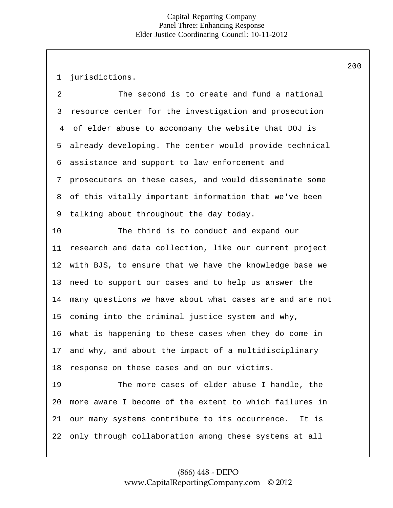1 jurisdictions.

2 3 4 5 6 7 8 9 The second is to create and fund a national resource center for the investigation and prosecution of elder abuse to accompany the website that DOJ is already developing. The center would provide technical assistance and support to law enforcement and prosecutors on these cases, and would disseminate some of this vitally important information that we've been talking about throughout the day today.

10 11 12 13 14 15 16 17 18 The third is to conduct and expand our research and data collection, like our current project with BJS, to ensure that we have the knowledge base we need to support our cases and to help us answer the many questions we have about what cases are and are not coming into the criminal justice system and why, what is happening to these cases when they do come in and why, and about the impact of a multidisciplinary response on these cases and on our victims.

19 20 21 22 The more cases of elder abuse I handle, the more aware I become of the extent to which failures in our many systems contribute to its occurrence. It is only through collaboration among these systems at all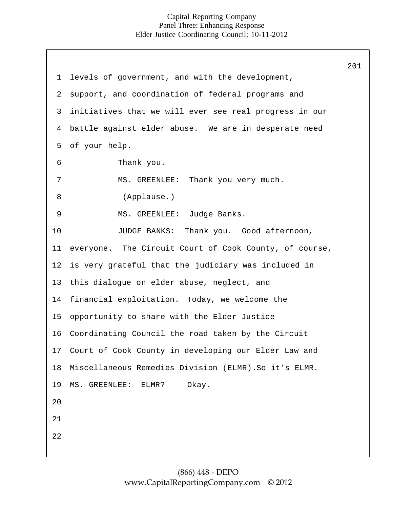1 2 3 4 5 6 7 8 9 10 11 12 13 14 15 16 17 18 19 levels of government, and with the development, support, and coordination of federal programs and initiatives that we will ever see real progress in our battle against elder abuse. We are in desperate need of your help. Thank you. MS. GREENLEE: Thank you very much. (Applause.) MS. GREENLEE: Judge Banks. JUDGE BANKS: Thank you. Good afternoon, everyone. The Circuit Court of Cook County, of course, is very grateful that the judiciary was included in this dialogue on elder abuse, neglect, and financial exploitation. Today, we welcome the opportunity to share with the Elder Justice Coordinating Council the road taken by the Circuit Court of Cook County in developing our Elder Law and Miscellaneous Remedies Division (ELMR).So it's ELMR. MS. GREENLEE: ELMR? Okay.  $2.0$ 21 22 201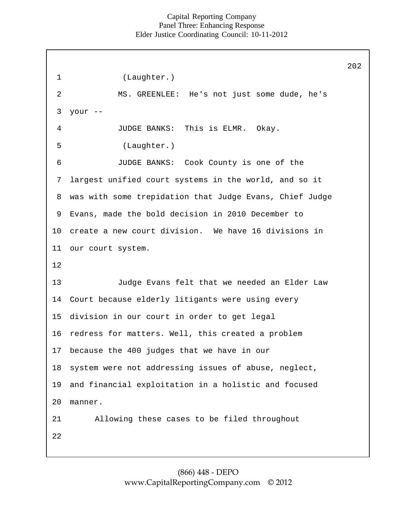|                |                                                         | 202 |
|----------------|---------------------------------------------------------|-----|
| $\mathbf 1$    | (Laughter.)                                             |     |
| $\overline{2}$ | MS. GREENLEE: He's not just some dude, he's             |     |
| 3              | your --                                                 |     |
| 4              | JUDGE BANKS: This is ELMR. Okay.                        |     |
| 5              | (Laughter.)                                             |     |
| 6              | JUDGE BANKS: Cook County is one of the                  |     |
| 7              | largest unified court systems in the world, and so it   |     |
| 8              | was with some trepidation that Judge Evans, Chief Judge |     |
| 9              | Evans, made the bold decision in 2010 December to       |     |
| 10             | create a new court division. We have 16 divisions in    |     |
| 11             | our court system.                                       |     |
| 12             |                                                         |     |
| 13             | Judge Evans felt that we needed an Elder Law            |     |
| 14             | Court because elderly litigants were using every        |     |
| 15             | division in our court in order to get legal             |     |
| 16             | redress for matters. Well, this created a problem       |     |
| 17             | because the 400 judges that we have in our              |     |
| 18             | system were not addressing issues of abuse, neglect,    |     |
| 19             | and financial exploitation in a holistic and focused    |     |
| 20             | manner.                                                 |     |
| 21             | Allowing these cases to be filed throughout             |     |
| 22             |                                                         |     |
|                |                                                         |     |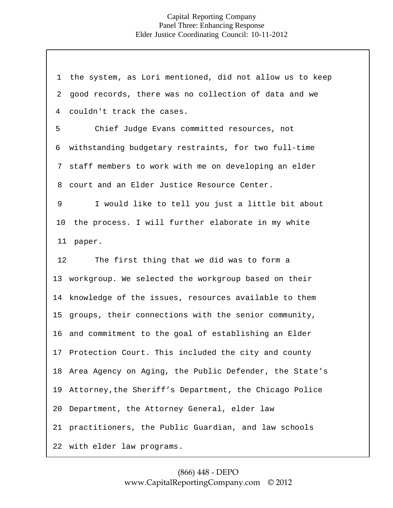20 Department, the Attorney General, elder law 21 practitioners, the Public Guardian, and law schools 22 with elder law programs. 1 2 4 6 7 staff members to work with me on developing an elder 8 9 5 10 11 paper. 13 workgroup. We selected the workgroup based on their 14 knowledge of the issues, resources available to them 15 groups, their connections with the senior community, 16 and commitment to the goal of establishing an Elder 17 Protection Court. This included the city and county 18 Area Agency on Aging, the Public Defender, the State's 19 Attorney,the Sheriff's Department, the Chicago Police 12 the system, as Lori mentioned, did not allow us to keep good records, there was no collection of data and we couldn't track the cases. Chief Judge Evans committed resources, not withstanding budgetary restraints, for two full-time court and an Elder Justice Resource Center. I would like to tell you just a little bit about the process. I will further elaborate in my white The first thing that we did was to form a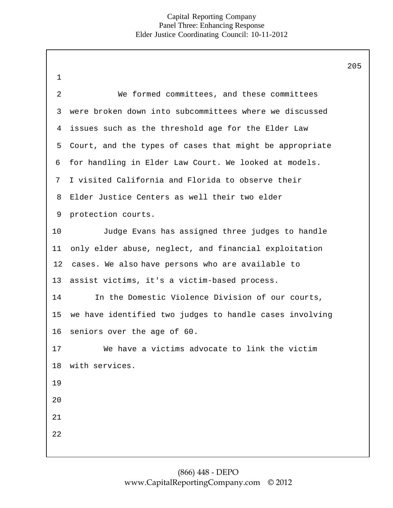|             |                                                         | 205 |
|-------------|---------------------------------------------------------|-----|
| $\mathbf 1$ |                                                         |     |
| 2           | We formed committees, and these committees              |     |
| 3           | were broken down into subcommittees where we discussed  |     |
| 4           | issues such as the threshold age for the Elder Law      |     |
| 5           | Court, and the types of cases that might be appropriate |     |
| 6           | for handling in Elder Law Court. We looked at models.   |     |
| 7           | I visited California and Florida to observe their       |     |
| 8           | Elder Justice Centers as well their two elder           |     |
| 9           | protection courts.                                      |     |
| 10          | Judge Evans has assigned three judges to handle         |     |
| 11          | only elder abuse, neglect, and financial exploitation   |     |
| 12          | cases. We also have persons who are available to        |     |
| 13          | assist victims, it's a victim-based process.            |     |
| 14          | In the Domestic Violence Division of our courts,        |     |
| 15          | we have identified two judges to handle cases involving |     |
| 16          | seniors over the age of 60.                             |     |
| 17          | We have a victims advocate to link the victim           |     |
| 18          | with services.                                          |     |
| 19          |                                                         |     |
| 20          |                                                         |     |
| 21          |                                                         |     |
| 22          |                                                         |     |
|             |                                                         |     |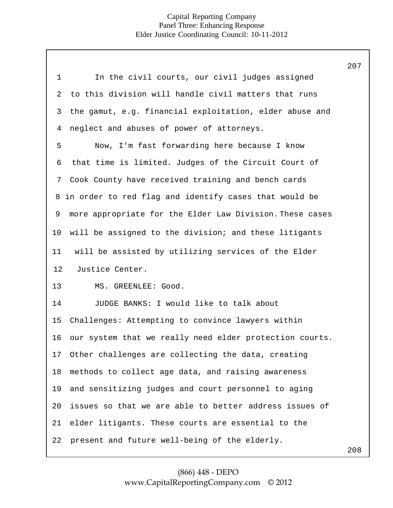|                |                                                          | 207 |
|----------------|----------------------------------------------------------|-----|
| $\mathbf 1$    | In the civil courts, our civil judges assigned           |     |
| $\overline{a}$ | to this division will handle civil matters that runs     |     |
| 3              | the gamut, e.g. financial exploitation, elder abuse and  |     |
| $\overline{4}$ | neglect and abuses of power of attorneys.                |     |
| 5              | Now, I'm fast forwarding here because I know             |     |
| 6              | that time is limited. Judges of the Circuit Court of     |     |
| 7              | Cook County have received training and bench cards       |     |
|                | 8 in order to red flag and identify cases that would be  |     |
| 9              | more appropriate for the Elder Law Division. These cases |     |
| 10             | will be assigned to the division; and these litigants    |     |
| 11             | will be assisted by utilizing services of the Elder      |     |
| 12             | Justice Center.                                          |     |
| 13             | MS. GREENLEE: Good.                                      |     |
| 14             | JUDGE BANKS: I would like to talk about                  |     |
| 15             | Challenges: Attempting to convince lawyers within        |     |
| 16             | our system that we really need elder protection courts.  |     |
| 17             | Other challenges are collecting the data, creating       |     |
| 18             | methods to collect age data, and raising awareness       |     |
| 19             | and sensitizing judges and court personnel to aging      |     |
| 20             | issues so that we are able to better address issues of   |     |
| 21             | elder litigants. These courts are essential to the       |     |
| 22             | present and future well-being of the elderly.            |     |
|                |                                                          |     |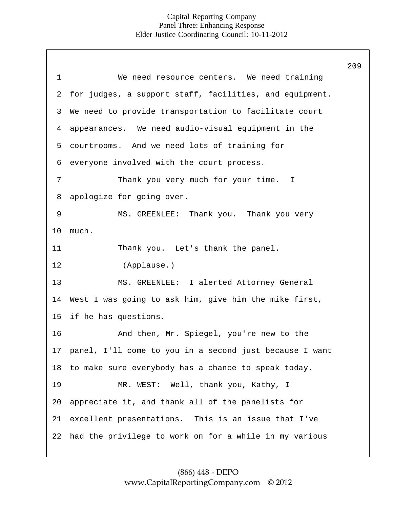|             |                                                            | 209 |
|-------------|------------------------------------------------------------|-----|
| $\mathbf 1$ | We need resource centers. We need training                 |     |
| 2           | for judges, a support staff, facilities, and equipment.    |     |
| 3           | We need to provide transportation to facilitate court      |     |
| 4           | appearances. We need audio-visual equipment in the         |     |
| 5           | courtrooms. And we need lots of training for               |     |
| 6           | everyone involved with the court process.                  |     |
| 7           | Thank you very much for your time. I                       |     |
| 8           | apologize for going over.                                  |     |
| 9           | MS. GREENLEE: Thank you. Thank you very                    |     |
| 10          | much.                                                      |     |
| 11          | Thank you. Let's thank the panel.                          |     |
| 12          | (Applause.)                                                |     |
| 13          | MS. GREENLEE: I alerted Attorney General                   |     |
| 14          | West I was going to ask him, give him the mike first,      |     |
| 15          | if he has questions.                                       |     |
| 16          | And then, Mr. Spiegel, you're new to the                   |     |
|             | 17 panel, I'll come to you in a second just because I want |     |
| 18          | to make sure everybody has a chance to speak today.        |     |
| 19          | MR. WEST: Well, thank you, Kathy, I                        |     |
| 20          | appreciate it, and thank all of the panelists for          |     |
| 21          | excellent presentations. This is an issue that I've        |     |
| 22          | had the privilege to work on for a while in my various     |     |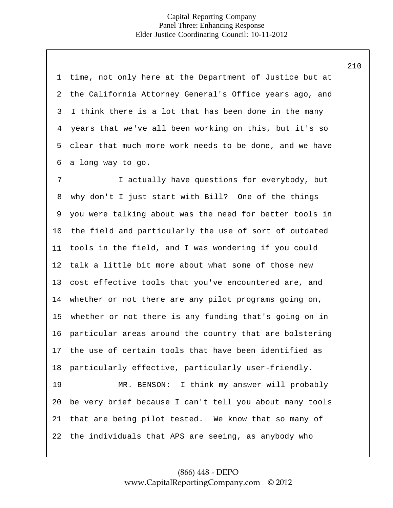| 1  | time, not only here at the Department of Justice but at  |
|----|----------------------------------------------------------|
| 2  | the California Attorney General's Office years ago, and  |
| 3  | I think there is a lot that has been done in the many    |
| 4  | years that we've all been working on this, but it's so   |
| 5  | clear that much more work needs to be done, and we have  |
| 6  | a long way to go.                                        |
| 7  | I actually have questions for everybody, but             |
| 8  | why don't I just start with Bill? One of the things      |
| 9  | you were talking about was the need for better tools in  |
| 10 | the field and particularly the use of sort of outdated   |
| 11 | tools in the field, and I was wondering if you could     |
| 12 | talk a little bit more about what some of those new      |
| 13 | cost effective tools that you've encountered are, and    |
| 14 | whether or not there are any pilot programs going on,    |
| 15 | whether or not there is any funding that's going on in   |
| 16 | particular areas around the country that are bolstering  |
|    | 17 the use of certain tools that have been identified as |
| 18 | particularly effective, particularly user-friendly.      |
| 19 | MR. BENSON: I think my answer will probably              |
| 20 | be very brief because I can't tell you about many tools  |
| 21 | that are being pilot tested. We know that so many of     |
| 22 | the individuals that APS are seeing, as anybody who      |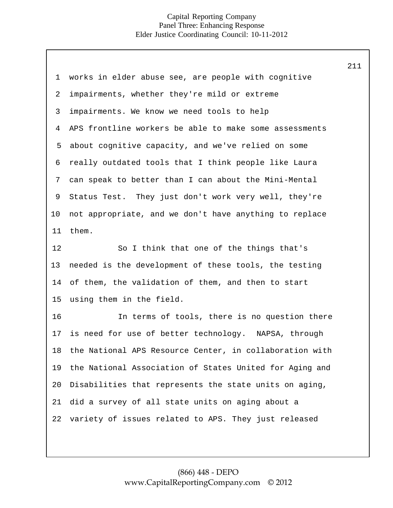| $\mathbf 1$ | works in elder abuse see, are people with cognitive     |
|-------------|---------------------------------------------------------|
| 2           | impairments, whether they're mild or extreme            |
|             |                                                         |
| 3           | impairments. We know we need tools to help              |
| 4           | APS frontline workers be able to make some assessments  |
| 5           | about cognitive capacity, and we've relied on some      |
| 6           | really outdated tools that I think people like Laura    |
| 7           | can speak to better than I can about the Mini-Mental    |
| 9           | Status Test. They just don't work very well, they're    |
| $10 \,$     | not appropriate, and we don't have anything to replace  |
| 11          | them.                                                   |
| 12          | So I think that one of the things that's                |
| 13          | needed is the development of these tools, the testing   |
| 14          | of them, the validation of them, and then to start      |
| 15          | using them in the field.                                |
| 16          | In terms of tools, there is no question there           |
| 17          | is need for use of better technology. NAPSA, through    |
| 18          | the National APS Resource Center, in collaboration with |
| 19          | the National Association of States United for Aging and |
| 20          | Disabilities that represents the state units on aging,  |
| 21          | did a survey of all state units on aging about a        |
| 22          | variety of issues related to APS. They just released    |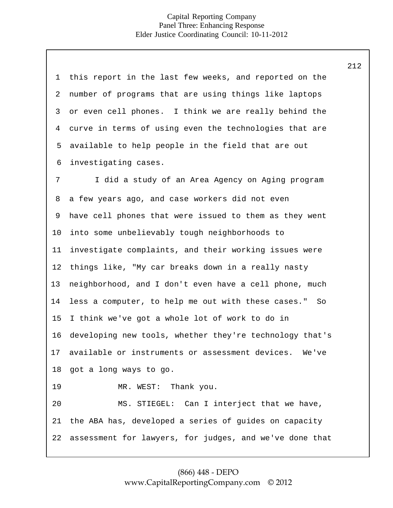| $\mathbf 1$ | this report in the last few weeks, and reported on the   |
|-------------|----------------------------------------------------------|
| 2           | number of programs that are using things like laptops    |
| 3           | or even cell phones. I think we are really behind the    |
| 4           | curve in terms of using even the technologies that are   |
| 5           | available to help people in the field that are out       |
| 6           | investigating cases.                                     |
| 7           | I did a study of an Area Agency on Aging program         |
| 8           | a few years ago, and case workers did not even           |
| 9           | have cell phones that were issued to them as they went   |
| 10          | into some unbelievably tough neighborhoods to            |
| 11          | investigate complaints, and their working issues were    |
| 12          | things like, "My car breaks down in a really nasty       |
| 13          | neighborhood, and I don't even have a cell phone, much   |
| 14          | less a computer, to help me out with these cases."<br>So |
| 15          | I think we've got a whole lot of work to do in           |
| 16          | developing new tools, whether they're technology that's  |
| 17          | available or instruments or assessment devices.<br>We've |
|             | 18 got a long ways to go.                                |
| 19          | MR. WEST: Thank you.                                     |
| 20          | MS. STIEGEL: Can I interject that we have,               |
| 21          | the ABA has, developed a series of guides on capacity    |
| 22          | assessment for lawyers, for judges, and we've done that  |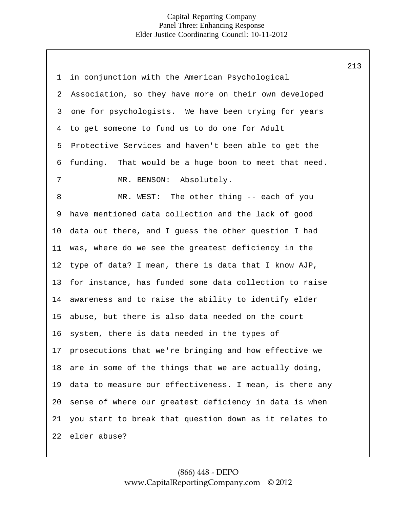| 1  | in conjunction with the American Psychological          |
|----|---------------------------------------------------------|
| 2  | Association, so they have more on their own developed   |
| 3  | one for psychologists. We have been trying for years    |
| 4  | to get someone to fund us to do one for Adult           |
| 5  | Protective Services and haven't been able to get the    |
| 6  | funding. That would be a huge boon to meet that need.   |
| 7  | MR. BENSON: Absolutely.                                 |
| 8  | MR. WEST: The other thing -- each of you                |
| 9  | have mentioned data collection and the lack of good     |
| 10 | data out there, and I guess the other question I had    |
| 11 | was, where do we see the greatest deficiency in the     |
| 12 | type of data? I mean, there is data that I know AJP,    |
| 13 | for instance, has funded some data collection to raise  |
| 14 | awareness and to raise the ability to identify elder    |
| 15 | abuse, but there is also data needed on the court       |
| 16 | system, there is data needed in the types of            |
| 17 | prosecutions that we're bringing and how effective we   |
| 18 | are in some of the things that we are actually doing,   |
| 19 | data to measure our effectiveness. I mean, is there any |
| 20 | sense of where our greatest deficiency in data is when  |
| 21 | you start to break that question down as it relates to  |
| 22 | elder abuse?                                            |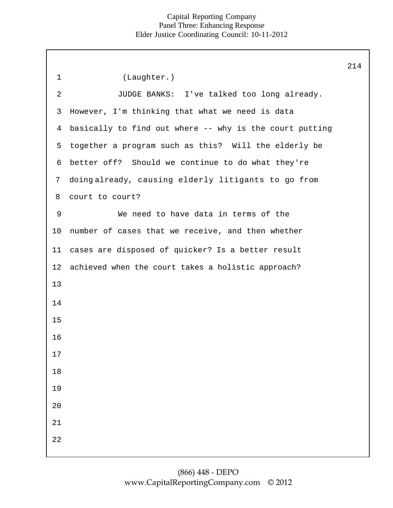|                |                                                         | 214 |
|----------------|---------------------------------------------------------|-----|
| $\mathbf{1}$   | (Laughter.)                                             |     |
| $\overline{2}$ | JUDGE BANKS: I've talked too long already.              |     |
| 3              | However, I'm thinking that what we need is data         |     |
| $\overline{4}$ | basically to find out where -- why is the court putting |     |
| 5              | together a program such as this? Will the elderly be    |     |
| 6              | better off? Should we continue to do what they're       |     |
| $7\phantom{.}$ | doingalready, causing elderly litigants to go from      |     |
| 8              | court to court?                                         |     |
| 9              | We need to have data in terms of the                    |     |
| 10             | number of cases that we receive, and then whether       |     |
| 11             | cases are disposed of quicker? Is a better result       |     |
| 12             | achieved when the court takes a holistic approach?      |     |
| 13             |                                                         |     |
| 14             |                                                         |     |
| 15             |                                                         |     |
| 16             |                                                         |     |
| 17             |                                                         |     |
| $18\,$         |                                                         |     |
| 19             |                                                         |     |
| 20             |                                                         |     |
| 21             |                                                         |     |
| 22             |                                                         |     |
|                |                                                         |     |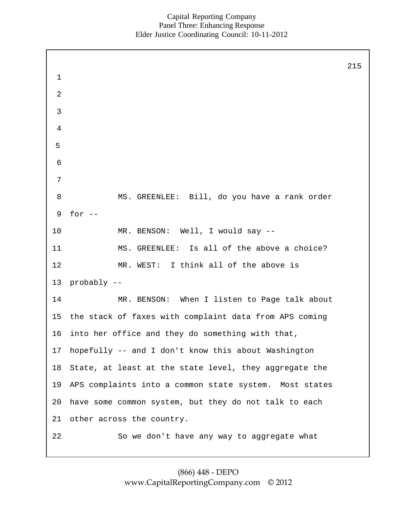1 2 3 4 5 6 7 8 9 10 11 12 13 14 15 16 17 18 19 20 21 22 MS. GREENLEE: Bill, do you have a rank order for  $--$ MR. BENSON: Well, I would say -- MS. GREENLEE: Is all of the above a choice? MR. WEST: I think all of the above is probably -- MR. BENSON: When I listen to Page talk about the stack of faxes with complaint data from APS coming into her office and they do something with that, hopefully -- and I don't know this about Washington State, at least at the state level, they aggregate the APS complaints into a common state system. Most states have some common system, but they do not talk to each other across the country. So we don't have any way to aggregate what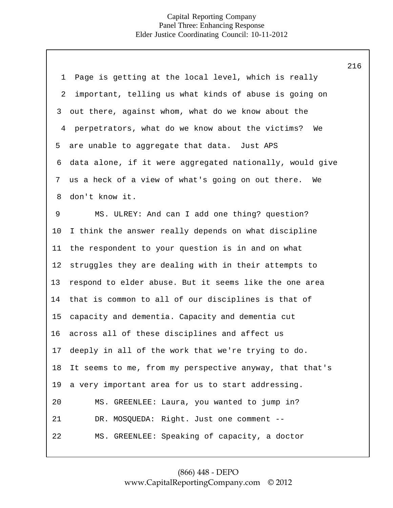|                |                                                          | 216 |
|----------------|----------------------------------------------------------|-----|
| $\mathbf 1$    | Page is getting at the local level, which is really      |     |
| 2              | important, telling us what kinds of abuse is going on    |     |
| 3              | out there, against whom, what do we know about the       |     |
| $\overline{4}$ | perpetrators, what do we know about the victims? We      |     |
| 5              | are unable to aggregate that data. Just APS              |     |
| 6              | data alone, if it were aggregated nationally, would give |     |
| 7              | us a heck of a view of what's going on out there.<br>We  |     |
| 8              | don't know it.                                           |     |
| 9              | MS. ULREY: And can I add one thing? question?            |     |
| 10             | I think the answer really depends on what discipline     |     |
| 11             | the respondent to your question is in and on what        |     |
| 12             | struggles they are dealing with in their attempts to     |     |
| 13             | respond to elder abuse. But it seems like the one area   |     |
| 14             | that is common to all of our disciplines is that of      |     |
| 15             | capacity and dementia. Capacity and dementia cut         |     |
| 16             | across all of these disciplines and affect us            |     |
| 17             | deeply in all of the work that we're trying to do.       |     |
| 18             | It seems to me, from my perspective anyway, that that's  |     |
| 19             | a very important area for us to start addressing.        |     |
| 20             | MS. GREENLEE: Laura, you wanted to jump in?              |     |
| 21             | DR. MOSQUEDA: Right. Just one comment --                 |     |
| 22             | MS. GREENLEE: Speaking of capacity, a doctor             |     |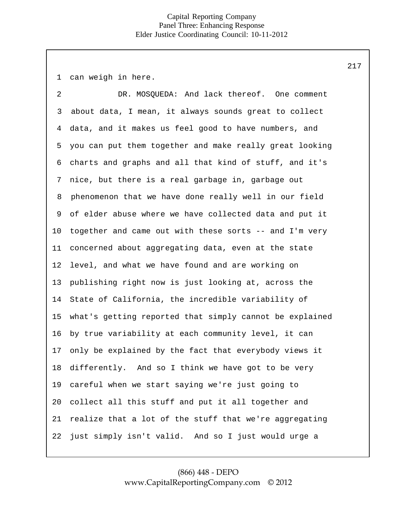1 can weigh in here.

16 17 18 19 20 21 22 2 3 4 5 6 7 8 9 10 11 12 13 14 15 DR. MOSQUEDA: And lack thereof. One comment about data, I mean, it always sounds great to collect data, and it makes us feel good to have numbers, and you can put them together and make really great looking charts and graphs and all that kind of stuff, and it's nice, but there is a real garbage in, garbage out phenomenon that we have done really well in our field of elder abuse where we have collected data and put it together and came out with these sorts -- and I'm very concerned about aggregating data, even at the state level, and what we have found and are working on publishing right now is just looking at, across the State of California, the incredible variability of what's getting reported that simply cannot be explained by true variability at each community level, it can only be explained by the fact that everybody views it differently. And so I think we have got to be very careful when we start saying we're just going to collect all this stuff and put it all together and realize that a lot of the stuff that we're aggregating just simply isn't valid. And so I just would urge a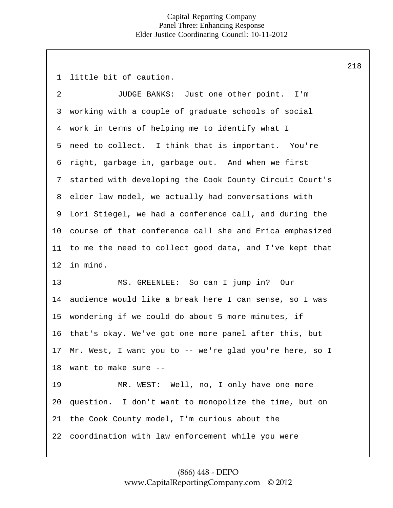1 little bit of caution.

2 3 4 5 6 7 8 9 10 11 12 13 14 15 16 17 18 19 20 21 22 JUDGE BANKS: Just one other point. I'm working with a couple of graduate schools of social work in terms of helping me to identify what I need to collect. I think that is important. You're right, garbage in, garbage out. And when we first started with developing the Cook County Circuit Court's elder law model, we actually had conversations with Lori Stiegel, we had a conference call, and during the course of that conference call she and Erica emphasized to me the need to collect good data, and I've kept that in mind. MS. GREENLEE: So can I jump in? Our audience would like a break here I can sense, so I was wondering if we could do about 5 more minutes, if that's okay. We've got one more panel after this, but Mr. West, I want you to -- we're glad you're here, so I want to make sure -- MR. WEST: Well, no, I only have one more question. I don't want to monopolize the time, but on the Cook County model, I'm curious about the coordination with law enforcement while you were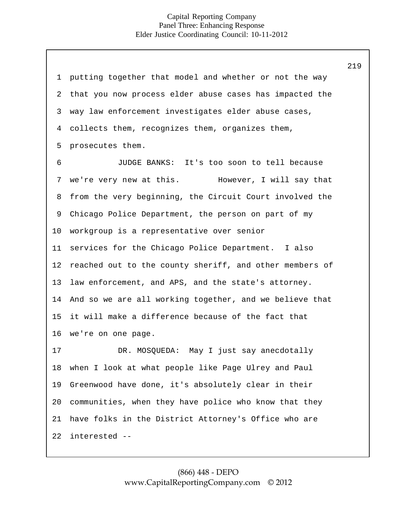1 2 3 4 5 6 7 8 9 10 11 12 13 14 15 16 17 18 19 20 21 22 putting together that model and whether or not the way that you now process elder abuse cases has impacted the way law enforcement investigates elder abuse cases, collects them, recognizes them, organizes them, prosecutes them. JUDGE BANKS: It's too soon to tell because we're very new at this. However, I will say that from the very beginning, the Circuit Court involved the Chicago Police Department, the person on part of my workgroup is a representative over senior services for the Chicago Police Department. I also reached out to the county sheriff, and other members of law enforcement, and APS, and the state's attorney. And so we are all working together, and we believe that it will make a difference because of the fact that we're on one page. DR. MOSQUEDA: May I just say anecdotally when I look at what people like Page Ulrey and Paul Greenwood have done, it's absolutely clear in their communities, when they have police who know that they have folks in the District Attorney's Office who are interested --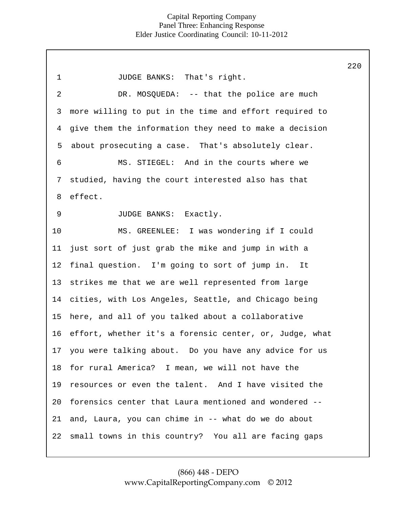1 2 3 4 5 6 7 8 9 10 11 12 13 14 15 16 17 18 19 20 21 22 JUDGE BANKS: That's right. DR. MOSOUEDA: -- that the police are much more willing to put in the time and effort required to give them the information they need to make a decision about prosecuting a case. That's absolutely clear. MS. STIEGEL: And in the courts where we studied, having the court interested also has that effect. JUDGE BANKS: Exactly. MS. GREENLEE: I was wondering if I could just sort of just grab the mike and jump in with a final question. I'm going to sort of jump in. It strikes me that we are well represented from large cities, with Los Angeles, Seattle, and Chicago being here, and all of you talked about a collaborative effort, whether it's a forensic center, or, Judge, what you were talking about. Do you have any advice for us for rural America? I mean, we will not have the resources or even the talent. And I have visited the forensics center that Laura mentioned and wondered - and, Laura, you can chime in -- what do we do about small towns in this country? You all are facing gaps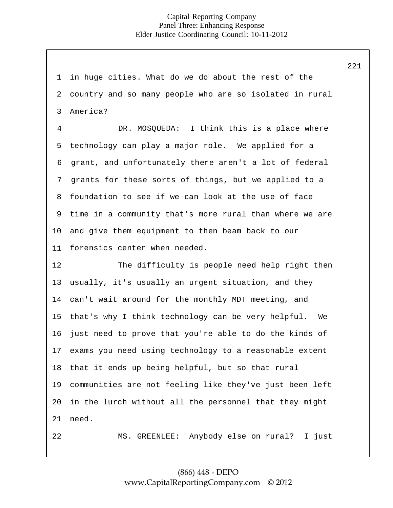1 2 3 4 5 6 7 8 9 10 11 12 13 14 15 16 17 18 19 20 21 22 in huge cities. What do we do about the rest of the country and so many people who are so isolated in rural America? DR. MOSOUEDA: I think this is a place where technology can play a major role. We applied for a grant, and unfortunately there aren't a lot of federal grants for these sorts of things, but we applied to a foundation to see if we can look at the use of face time in a community that's more rural than where we are and give them equipment to then beam back to our forensics center when needed. The difficulty is people need help right then usually, it's usually an urgent situation, and they can't wait around for the monthly MDT meeting, and that's why I think technology can be very helpful. We just need to prove that you're able to do the kinds of exams you need using technology to a reasonable extent that it ends up being helpful, but so that rural communities are not feeling like they've just been left in the lurch without all the personnel that they might need. MS. GREENLEE: Anybody else on rural? I just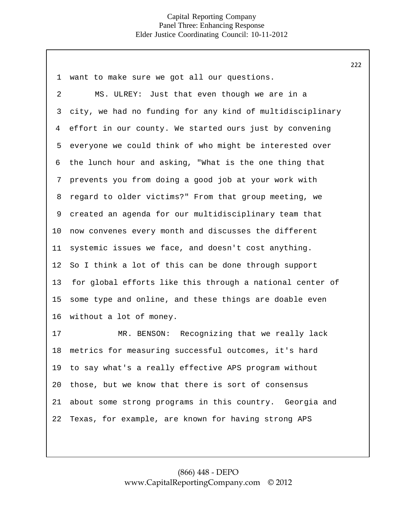| $\mathbf 1$ | want to make sure we got all our questions.               |
|-------------|-----------------------------------------------------------|
| 2           | MS. ULREY: Just that even though we are in a              |
| 3           | city, we had no funding for any kind of multidisciplinary |
| 4           | effort in our county. We started ours just by convening   |
| 5           | everyone we could think of who might be interested over   |
| 6           | the lunch hour and asking, "What is the one thing that    |
| 7           | prevents you from doing a good job at your work with      |
| 8           | regard to older victims?" From that group meeting, we     |
| 9           | created an agenda for our multidisciplinary team that     |
| $10 \,$     | now convenes every month and discusses the different      |
| 11          | systemic issues we face, and doesn't cost anything.       |
| 12          | So I think a lot of this can be done through support      |
| 13          | for global efforts like this through a national center of |
| 15          | some type and online, and these things are doable even    |
| 16          | without a lot of money.                                   |
| 17          | MR. BENSON: Recognizing that we really lack               |
| 18          | metrics for measuring successful outcomes, it's hard      |
| 19          | to say what's a really effective APS program without      |
| 20          | those, but we know that there is sort of consensus        |
| 21          | about some strong programs in this country. Georgia and   |
| 22          | Texas, for example, are known for having strong APS       |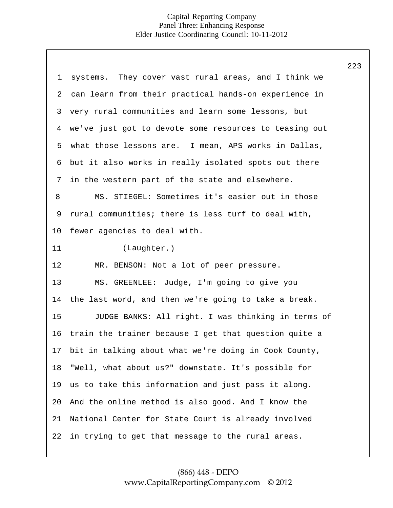|             |                                                        | 223 |
|-------------|--------------------------------------------------------|-----|
| $\mathbf 1$ | systems. They cover vast rural areas, and I think we   |     |
| 2           | can learn from their practical hands-on experience in  |     |
| 3           | very rural communities and learn some lessons, but     |     |
| 4           | we've just got to devote some resources to teasing out |     |
| 5           | what those lessons are. I mean, APS works in Dallas,   |     |
| 6           | but it also works in really isolated spots out there   |     |
| 7           | in the western part of the state and elsewhere.        |     |
| 8           | MS. STIEGEL: Sometimes it's easier out in those        |     |
| 9           | rural communities; there is less turf to deal with,    |     |
| 10          | fewer agencies to deal with.                           |     |
| 11          | (Laughter.)                                            |     |
| 12          | MR. BENSON: Not a lot of peer pressure.                |     |
| 13          | MS. GREENLEE: Judge, I'm going to give you             |     |
| 14          | the last word, and then we're going to take a break.   |     |
| 15          | JUDGE BANKS: All right. I was thinking in terms of     |     |
| 16          | train the trainer because I get that question quite a  |     |
| 17          | bit in talking about what we're doing in Cook County,  |     |
| 18          | "Well, what about us?" downstate. It's possible for    |     |
| 19          | us to take this information and just pass it along.    |     |
| 20          | And the online method is also good. And I know the     |     |
| 21          | National Center for State Court is already involved    |     |
| 22          | in trying to get that message to the rural areas.      |     |